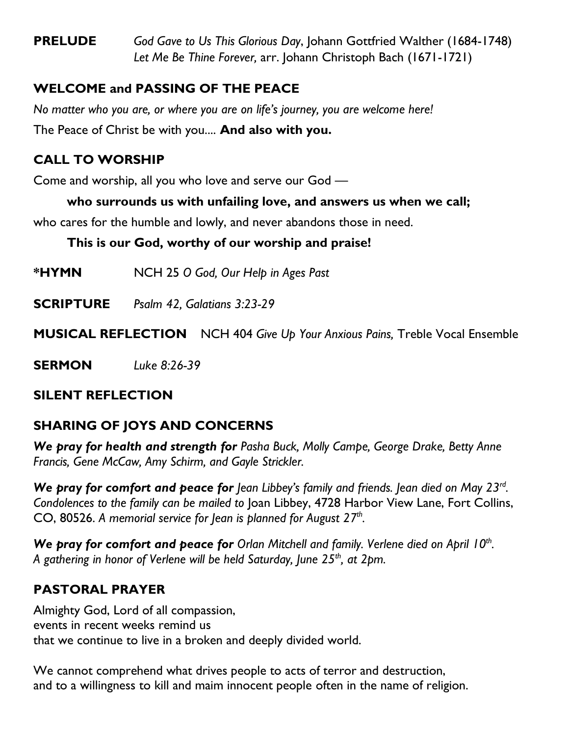**PRELUDE** *God Gave to Us This Glorious Day*, Johann Gottfried Walther (1684-1748) *Let Me Be Thine Forever,* arr. Johann Christoph Bach (1671-1721)

# **WELCOME and PASSING OF THE PEACE**

*No matter who you are, or where you are on life's journey, you are welcome here!* The Peace of Christ be with you.... **And also with you.**

## **CALL TO WORSHIP**

Come and worship, all you who love and serve our God —

## **who surrounds us with unfailing love, and answers us when we call;**

who cares for the humble and lowly, and never abandons those in need.

## **This is our God, worthy of our worship and praise!**

**\*HYMN** NCH 25 *O God, Our Help in Ages Past*

**SCRIPTURE** *Psalm 42, Galatians 3:23-29*

**MUSICAL REFLECTION** NCH 404 *Give Up Your Anxious Pains,* Treble Vocal Ensemble

**SERMON** *Luke 8:26-39*

## **SILENT REFLECTION**

# **SHARING OF JOYS AND CONCERNS**

*We pray for health and strength for Pasha Buck, Molly Campe, George Drake, Betty Anne Francis, Gene McCaw, Amy Schirm, and Gayle Strickler.*

We pray for comfort and peace for Jean Libbey's family and friends. Jean died on May 23<sup>rd</sup>. *Condolences to the family can be mailed to* Joan Libbey, 4728 Harbor View Lane, Fort Collins, CO, 80526. *A memorial service for Jean is planned for August 27th .*

We pray for comfort and peace for Orlan Mitchell and family. Verlene died on April 10<sup>th</sup>. *A gathering in honor of Verlene will be held Saturday, June 25th, at 2pm.*

# **PASTORAL PRAYER**

Almighty God, Lord of all compassion, events in recent weeks remind us that we continue to live in a broken and deeply divided world.

We cannot comprehend what drives people to acts of terror and destruction, and to a willingness to kill and maim innocent people often in the name of religion.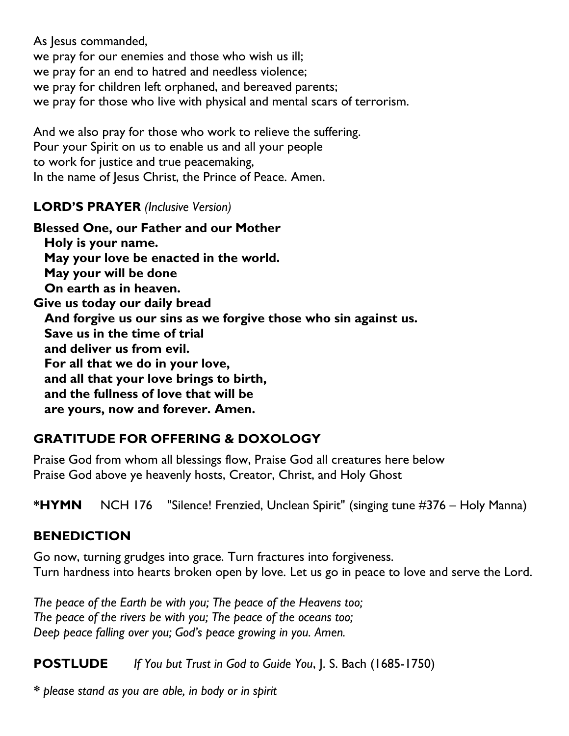As lesus commanded, we pray for our enemies and those who wish us ill; we pray for an end to hatred and needless violence; we pray for children left orphaned, and bereaved parents; we pray for those who live with physical and mental scars of terrorism.

And we also pray for those who work to relieve the suffering. Pour your Spirit on us to enable us and all your people to work for justice and true peacemaking, In the name of Jesus Christ, the Prince of Peace. Amen.

### **LORD'S PRAYER** *(Inclusive Version)*

**Blessed One, our Father and our Mother Holy is your name. May your love be enacted in the world. May your will be done On earth as in heaven. Give us today our daily bread And forgive us our sins as we forgive those who sin against us. Save us in the time of trial and deliver us from evil. For all that we do in your love, and all that your love brings to birth, and the fullness of love that will be are yours, now and forever. Amen.**

# **GRATITUDE FOR OFFERING & DOXOLOGY**

Praise God from whom all blessings flow, Praise God all creatures here below Praise God above ye heavenly hosts, Creator, Christ, and Holy Ghost

**\*HYMN** NCH 176 "Silence! Frenzied, Unclean Spirit" (singing tune #376 – Holy Manna)

## **BENEDICTION**

Go now, turning grudges into grace. Turn fractures into forgiveness. Turn hardness into hearts broken open by love. Let us go in peace to love and serve the Lord.

*The peace of the Earth be with you; The peace of the Heavens too; The peace of the rivers be with you; The peace of the oceans too; Deep peace falling over you; God's peace growing in you. Amen.*

**POSTLUDE** *If You but Trust in God to Guide You*, J. S. Bach (1685-1750)

*\* please stand as you are able, in body or in spirit*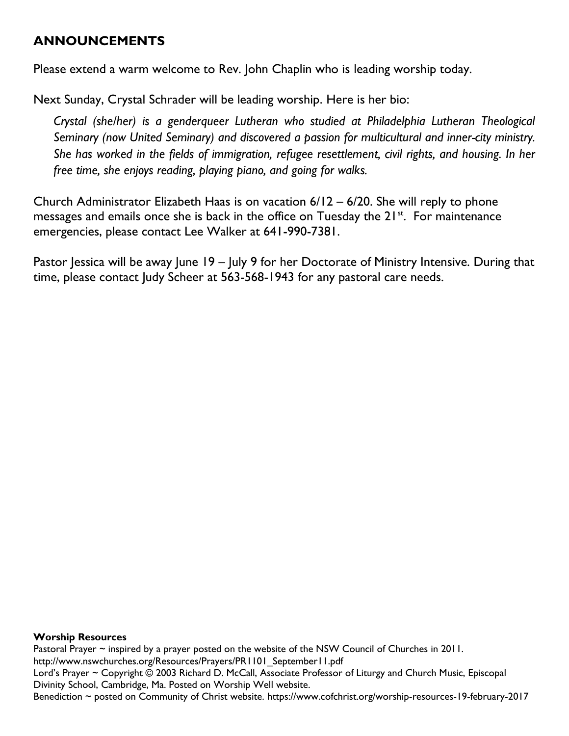#### **ANNOUNCEMENTS**

Please extend a warm welcome to Rev. John Chaplin who is leading worship today.

Next Sunday, Crystal Schrader will be leading worship. Here is her bio:

*Crystal (she/her) is a genderqueer Lutheran who studied at Philadelphia Lutheran Theological Seminary (now United Seminary) and discovered a passion for multicultural and inner-city ministry. She has worked in the fields of immigration, refugee resettlement, civil rights, and housing. In her free time, she enjoys reading, playing piano, and going for walks.*

Church Administrator Elizabeth Haas is on vacation 6/12 – 6/20. She will reply to phone messages and emails once she is back in the office on Tuesday the 21<sup>st</sup>. For maintenance emergencies, please contact Lee Walker at 641-990-7381.

Pastor Jessica will be away June 19 – July 9 for her Doctorate of Ministry Intensive. During that time, please contact Judy Scheer at 563-568-1943 for any pastoral care needs.

#### **Worship Resources**

Pastoral Prayer ~ inspired by a prayer posted on the website of the NSW Council of Churches in 2011. [http://www.nswchurches.org/Resources/Prayers/PR1101\\_September11.pdf](http://www.nswchurches.org/Resources/Prayers/PR1101_September11.pdf) Lord's Prayer ~ Copyright © 2003 Richard D. McCall, Associate Professor of Liturgy and Church Music, Episcopal Divinity School, Cambridge, Ma. Posted on [Worship Well](http://www.theworshipwell.org/pdf/WOR_McCall3.pdf) website. Benediction ~ posted on Community of Christ website.<https://www.cofchrist.org/worship-resources-19-february-2017>